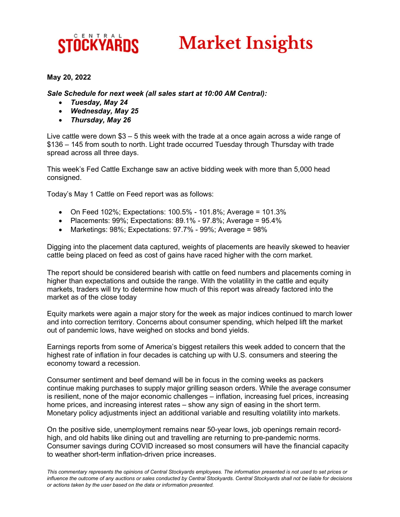## CENTRAI **STOCKYARDS**

## **Market Insights**

## May 20, 2022

Sale Schedule for next week (all sales start at 10:00 AM Central):

- Tuesday, May 24
- Wednesday, May 25
- Thursday, May 26

Live cattle were down  $$3 - 5$  this week with the trade at a once again across a wide range of \$136 – 145 from south to north. Light trade occurred Tuesday through Thursday with trade spread across all three days.

This week's Fed Cattle Exchange saw an active bidding week with more than 5,000 head consigned.

Today's May 1 Cattle on Feed report was as follows:

- On Feed 102%; Expectations: 100.5% 101.8%; Average = 101.3%
- Placements:  $99\%$ ; Expectations:  $89.1\%$   $97.8\%$ ; Average =  $95.4\%$
- Marketings:  $98\%$ ; Expectations:  $97.7\%$   $99\%$ ; Average =  $98\%$

Digging into the placement data captured, weights of placements are heavily skewed to heavier cattle being placed on feed as cost of gains have raced higher with the corn market.

The report should be considered bearish with cattle on feed numbers and placements coming in higher than expectations and outside the range. With the volatility in the cattle and equity markets, traders will try to determine how much of this report was already factored into the market as of the close today

Equity markets were again a major story for the week as major indices continued to march lower and into correction territory. Concerns about consumer spending, which helped lift the market out of pandemic lows, have weighed on stocks and bond yields.

Earnings reports from some of America's biggest retailers this week added to concern that the highest rate of inflation in four decades is catching up with U.S. consumers and steering the economy toward a recession.

Consumer sentiment and beef demand will be in focus in the coming weeks as packers continue making purchases to supply major grilling season orders. While the average consumer is resilient, none of the major economic challenges – inflation, increasing fuel prices, increasing home prices, and increasing interest rates – show any sign of easing in the short term. Monetary policy adjustments inject an additional variable and resulting volatility into markets.

On the positive side, unemployment remains near 50-year lows, job openings remain recordhigh, and old habits like dining out and travelling are returning to pre-pandemic norms. Consumer savings during COVID increased so most consumers will have the financial capacity to weather short-term inflation-driven price increases.

This commentary represents the opinions of Central Stockyards employees. The information presented is not used to set prices or influence the outcome of any auctions or sales conducted by Central Stockyards. Central Stockyards shall not be liable for decisions or actions taken by the user based on the data or information presented.